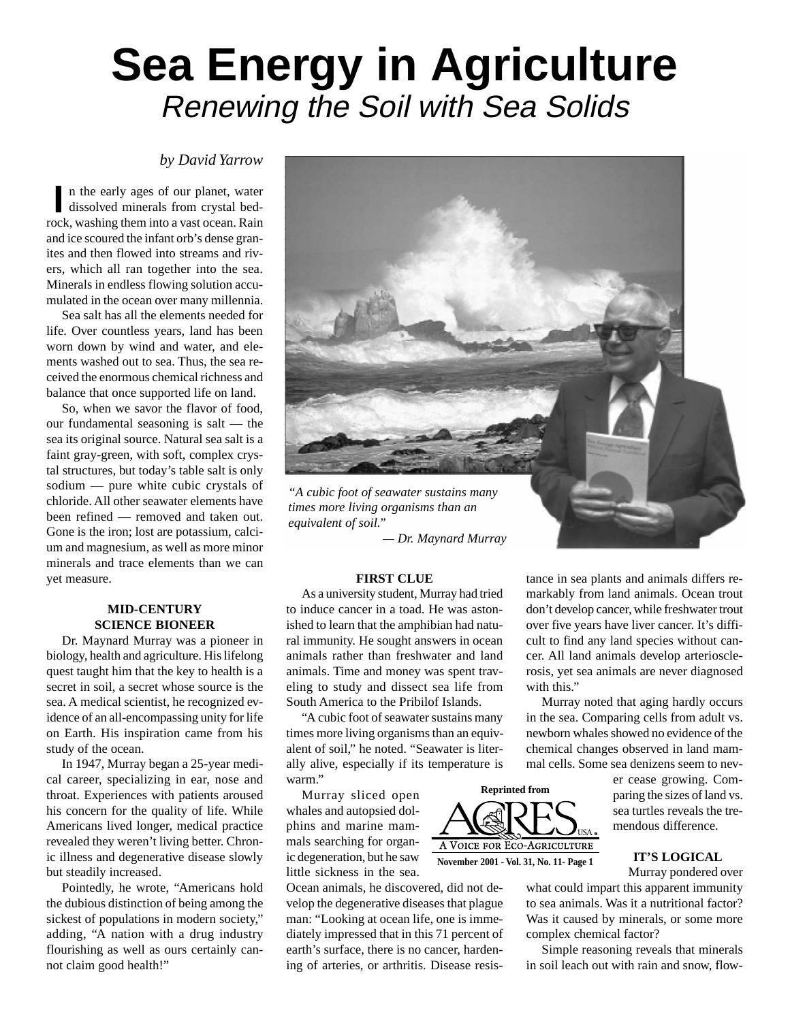# **Sea Energy in Agriculture** Renewing the Soil with Sea Solids

### *by David Yarrow*

n the early ages of our planet, water n the early ages of our planet, water<br>dissolved minerals from crystal bedrock, washing them into a vast ocean. Rain and ice scoured the infant orb's dense granites and then flowed into streams and rivers, which all ran together into the sea. Minerals in endless flowing solution accumulated in the ocean over many millennia.

Sea salt has all the elements needed for life. Over countless years, land has been worn down by wind and water, and elements washed out to sea. Thus, the sea received the enormous chemical richness and balance that once supported life on land.

So, when we savor the flavor of food, our fundamental seasoning is salt — the sea its original source. Natural sea salt is a faint gray-green, with soft, complex crystal structures, but today's table salt is only sodium — pure white cubic crystals of chloride. All other seawater elements have been refined — removed and taken out. Gone is the iron; lost are potassium, calcium and magnesium, as well as more minor minerals and trace elements than we can yet measure.

#### **MID-CENTURY SCIENCE BIONEER**

Dr. Maynard Murray was a pioneer in biology, health and agriculture. His lifelong quest taught him that the key to health is a secret in soil, a secret whose source is the sea. A medical scientist, he recognized evidence of an all-encompassing unity for life on Earth. His inspiration came from his study of the ocean.

In 1947, Murray began a 25-year medical career, specializing in ear, nose and throat. Experiences with patients aroused his concern for the quality of life. While Americans lived longer, medical practice revealed they weren't living better. Chronic illness and degenerative disease slowly but steadily increased.

Pointedly, he wrote, "Americans hold the dubious distinction of being among the sickest of populations in modern society," adding, "A nation with a drug industry flourishing as well as ours certainly cannot claim good health!"



*equivalent of soil."*

*— Dr. Maynard Murray*

#### **FIRST CLUE**

As a university student, Murray had tried to induce cancer in a toad. He was astonished to learn that the amphibian had natural immunity. He sought answers in ocean animals rather than freshwater and land animals. Time and money was spent traveling to study and dissect sea life from South America to the Pribilof Islands.

"A cubic foot of seawater sustains many times more living organisms than an equivalent of soil," he noted. "Seawater is literally alive, especially if its temperature is warm."

Murray sliced open whales and autopsied dolphins and marine mammals searching for organic degeneration, but he saw little sickness in the sea.

Ocean animals, he discovered, did not develop the degenerative diseases that plague man: "Looking at ocean life, one is immediately impressed that in this 71 percent of earth's surface, there is no cancer, hardening of arteries, or arthritis. Disease resis-



tance in sea plants and animals differs remarkably from land animals. Ocean trout don't develop cancer, while freshwater trout over five years have liver cancer. It's difficult to find any land species without cancer. All land animals develop arteriosclerosis, yet sea animals are never diagnosed with this."

Murray noted that aging hardly occurs in the sea. Comparing cells from adult vs. newborn whales showed no evidence of the chemical changes observed in land mammal cells. Some sea denizens seem to nev-

> er cease growing. Comparing the sizes of land vs. sea turtles reveals the tremendous difference.

#### **IT'S LOGICAL**

Murray pondered over

what could impart this apparent immunity to sea animals. Was it a nutritional factor? Was it caused by minerals, or some more complex chemical factor?

Simple reasoning reveals that minerals in soil leach out with rain and snow, flow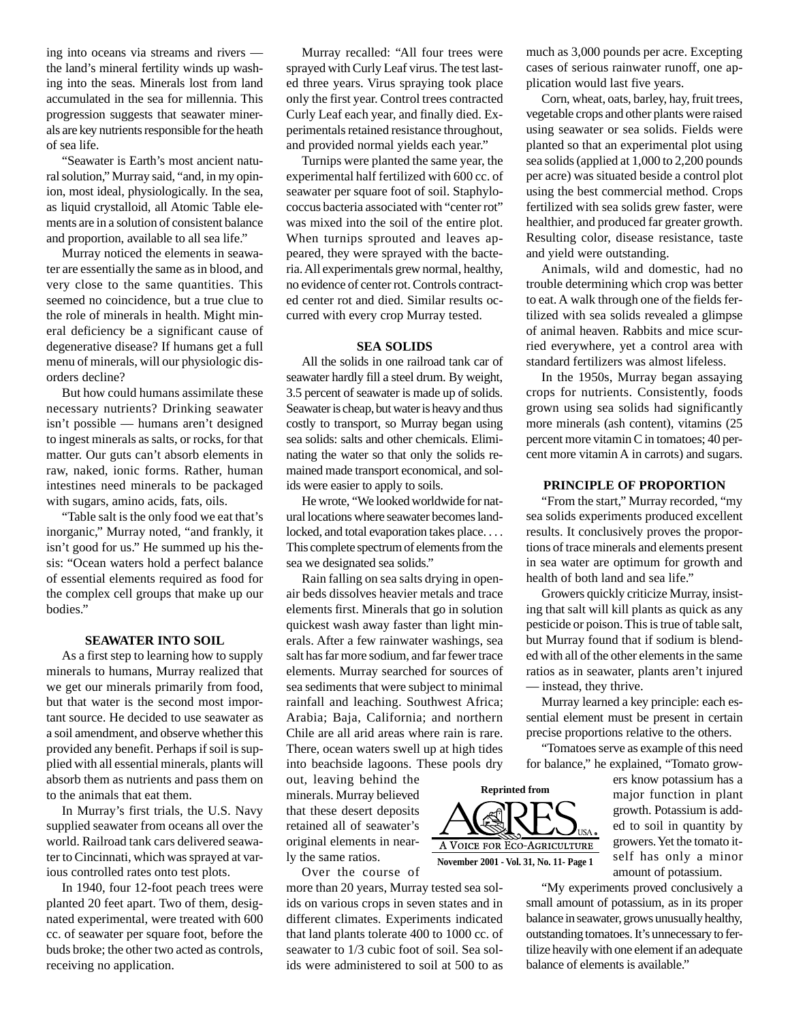ing into oceans via streams and rivers the land's mineral fertility winds up washing into the seas. Minerals lost from land accumulated in the sea for millennia. This progression suggests that seawater minerals are key nutrients responsible for the heath of sea life.

"Seawater is Earth's most ancient natural solution," Murray said, "and, in my opinion, most ideal, physiologically. In the sea, as liquid crystalloid, all Atomic Table elements are in a solution of consistent balance and proportion, available to all sea life."

Murray noticed the elements in seawater are essentially the same as in blood, and very close to the same quantities. This seemed no coincidence, but a true clue to the role of minerals in health. Might mineral deficiency be a significant cause of degenerative disease? If humans get a full menu of minerals, will our physiologic disorders decline?

But how could humans assimilate these necessary nutrients? Drinking seawater isn't possible — humans aren't designed to ingest minerals as salts, or rocks, for that matter. Our guts can't absorb elements in raw, naked, ionic forms. Rather, human intestines need minerals to be packaged with sugars, amino acids, fats, oils.

"Table salt is the only food we eat that's inorganic," Murray noted, "and frankly, it isn't good for us." He summed up his thesis: "Ocean waters hold a perfect balance of essential elements required as food for the complex cell groups that make up our bodies."

#### **SEAWATER INTO SOIL**

As a first step to learning how to supply minerals to humans, Murray realized that we get our minerals primarily from food, but that water is the second most important source. He decided to use seawater as a soil amendment, and observe whether this provided any benefit. Perhaps if soil is supplied with all essential minerals, plants will absorb them as nutrients and pass them on to the animals that eat them.

In Murray's first trials, the U.S. Navy supplied seawater from oceans all over the world. Railroad tank cars delivered seawater to Cincinnati, which was sprayed at various controlled rates onto test plots.

In 1940, four 12-foot peach trees were planted 20 feet apart. Two of them, designated experimental, were treated with 600 cc. of seawater per square foot, before the buds broke; the other two acted as controls, receiving no application.

Murray recalled: "All four trees were sprayed with Curly Leaf virus. The test lasted three years. Virus spraying took place only the first year. Control trees contracted Curly Leaf each year, and finally died. Experimentals retained resistance throughout, and provided normal yields each year."

Turnips were planted the same year, the experimental half fertilized with 600 cc. of seawater per square foot of soil. Staphylococcus bacteria associated with "center rot" was mixed into the soil of the entire plot. When turnips sprouted and leaves appeared, they were sprayed with the bacteria. All experimentals grew normal, healthy, no evidence of center rot. Controls contracted center rot and died. Similar results occurred with every crop Murray tested.

#### **SEA SOLIDS**

All the solids in one railroad tank car of seawater hardly fill a steel drum. By weight, 3.5 percent of seawater is made up of solids. Seawater is cheap, but water is heavy and thus costly to transport, so Murray began using sea solids: salts and other chemicals. Eliminating the water so that only the solids remained made transport economical, and solids were easier to apply to soils.

He wrote, "We looked worldwide for natural locations where seawater becomes landlocked, and total evaporation takes place. . . . This complete spectrum of elements from the sea we designated sea solids."

Rain falling on sea salts drying in openair beds dissolves heavier metals and trace elements first. Minerals that go in solution quickest wash away faster than light minerals. After a few rainwater washings, sea salt has far more sodium, and far fewer trace elements. Murray searched for sources of sea sediments that were subject to minimal rainfall and leaching. Southwest Africa; Arabia; Baja, California; and northern Chile are all arid areas where rain is rare. There, ocean waters swell up at high tides into beachside lagoons. These pools dry

out, leaving behind the minerals. Murray believed that these desert deposits retained all of seawater's original elements in nearly the same ratios.

Over the course of

more than 20 years, Murray tested sea solids on various crops in seven states and in different climates. Experiments indicated that land plants tolerate 400 to 1000 cc. of seawater to 1/3 cubic foot of soil. Sea solids were administered to soil at 500 to as much as 3,000 pounds per acre. Excepting cases of serious rainwater runoff, one application would last five years.

Corn, wheat, oats, barley, hay, fruit trees, vegetable crops and other plants were raised using seawater or sea solids. Fields were planted so that an experimental plot using sea solids (applied at 1,000 to 2,200 pounds per acre) was situated beside a control plot using the best commercial method. Crops fertilized with sea solids grew faster, were healthier, and produced far greater growth. Resulting color, disease resistance, taste and yield were outstanding.

Animals, wild and domestic, had no trouble determining which crop was better to eat. A walk through one of the fields fertilized with sea solids revealed a glimpse of animal heaven. Rabbits and mice scurried everywhere, yet a control area with standard fertilizers was almost lifeless.

In the 1950s, Murray began assaying crops for nutrients. Consistently, foods grown using sea solids had significantly more minerals (ash content), vitamins (25 percent more vitamin C in tomatoes; 40 percent more vitamin A in carrots) and sugars.

#### **PRINCIPLE OF PROPORTION**

"From the start," Murray recorded, "my sea solids experiments produced excellent results. It conclusively proves the proportions of trace minerals and elements present in sea water are optimum for growth and health of both land and sea life."

Growers quickly criticize Murray, insisting that salt will kill plants as quick as any pesticide or poison. This is true of table salt, but Murray found that if sodium is blended with all of the other elements in the same ratios as in seawater, plants aren't injured — instead, they thrive.

Murray learned a key principle: each essential element must be present in certain precise proportions relative to the others.

"Tomatoes serve as example of this need for balance," he explained, "Tomato grow-

> ers know potassium has a major function in plant growth. Potassium is added to soil in quantity by growers. Yet the tomato itself has only a minor amount of potassium.

"My experiments proved conclusively a small amount of potassium, as in its proper balance in seawater, grows unusually healthy, outstanding tomatoes. It's unnecessary to fertilize heavily with one element if an adequate balance of elements is available."

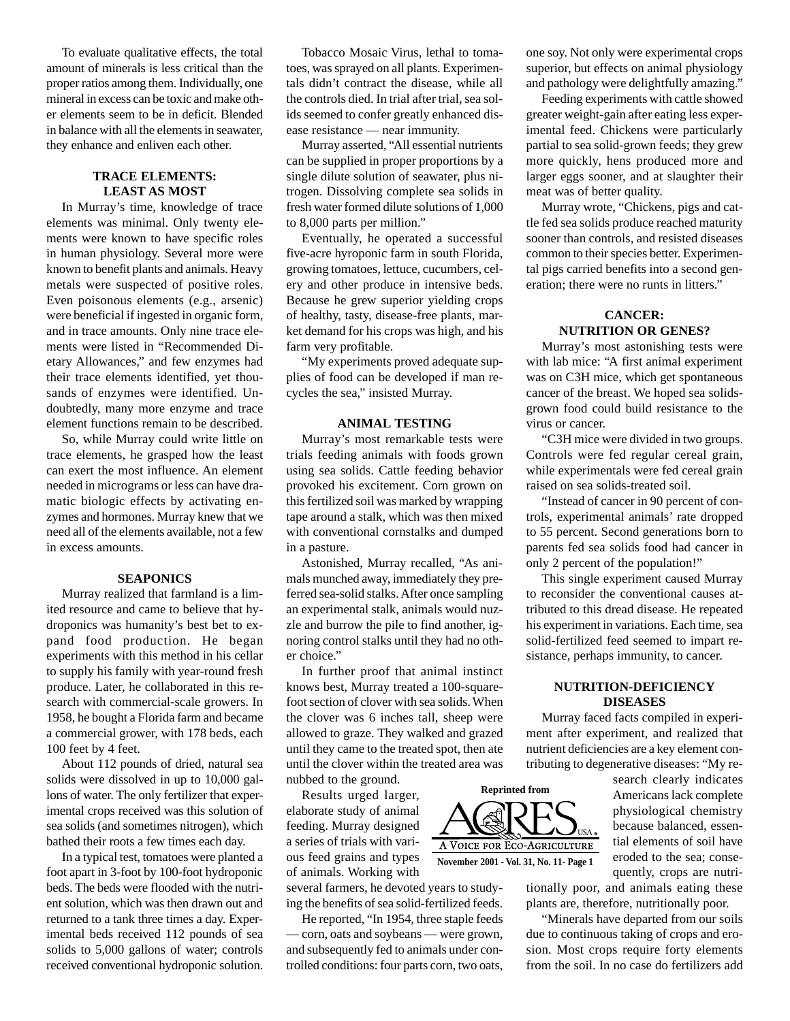To evaluate qualitative effects, the total amount of minerals is less critical than the proper ratios among them. Individually, one mineral in excess can be toxic and make other elements seem to be in deficit. Blended in balance with all the elements in seawater, they enhance and enliven each other.

#### **TRACE ELEMENTS: LEAST AS MOST**

In Murray's time, knowledge of trace elements was minimal. Only twenty elements were known to have specific roles in human physiology. Several more were known to benefit plants and animals. Heavy metals were suspected of positive roles. Even poisonous elements (e.g., arsenic) were beneficial if ingested in organic form, and in trace amounts. Only nine trace elements were listed in "Recommended Dietary Allowances," and few enzymes had their trace elements identified, yet thousands of enzymes were identified. Undoubtedly, many more enzyme and trace element functions remain to be described.

So, while Murray could write little on trace elements, he grasped how the least can exert the most influence. An element needed in micrograms or less can have dramatic biologic effects by activating enzymes and hormones. Murray knew that we need all of the elements available, not a few in excess amounts.

#### **SEAPONICS**

Murray realized that farmland is a limited resource and came to believe that hydroponics was humanity's best bet to expand food production. He began experiments with this method in his cellar to supply his family with year-round fresh produce. Later, he collaborated in this research with commercial-scale growers. In 1958, he bought a Florida farm and became a commercial grower, with 178 beds, each 100 feet by 4 feet.

About 112 pounds of dried, natural sea solids were dissolved in up to 10,000 gallons of water. The only fertilizer that experimental crops received was this solution of sea solids (and sometimes nitrogen), which bathed their roots a few times each day.

In a typical test, tomatoes were planted a foot apart in 3-foot by 100-foot hydroponic beds. The beds were flooded with the nutrient solution, which was then drawn out and returned to a tank three times a day. Experimental beds received 112 pounds of sea solids to 5,000 gallons of water; controls received conventional hydroponic solution.

Tobacco Mosaic Virus, lethal to tomatoes, was sprayed on all plants. Experimentals didn't contract the disease, while all the controls died. In trial after trial, sea solids seemed to confer greatly enhanced disease resistance — near immunity.

Murray asserted, "All essential nutrients can be supplied in proper proportions by a single dilute solution of seawater, plus nitrogen. Dissolving complete sea solids in fresh water formed dilute solutions of 1,000 to 8,000 parts per million."

Eventually, he operated a successful five-acre hyroponic farm in south Florida, growing tomatoes, lettuce, cucumbers, celery and other produce in intensive beds. Because he grew superior yielding crops of healthy, tasty, disease-free plants, market demand for his crops was high, and his farm very profitable.

"My experiments proved adequate supplies of food can be developed if man recycles the sea," insisted Murray.

#### **ANIMAL TESTING**

Murray's most remarkable tests were trials feeding animals with foods grown using sea solids. Cattle feeding behavior provoked his excitement. Corn grown on this fertilized soil was marked by wrapping tape around a stalk, which was then mixed with conventional cornstalks and dumped in a pasture.

Astonished, Murray recalled, "As animals munched away, immediately they preferred sea-solid stalks. After once sampling an experimental stalk, animals would nuzzle and burrow the pile to find another, ignoring control stalks until they had no other choice."

In further proof that animal instinct knows best, Murray treated a 100-squarefoot section of clover with sea solids. When the clover was 6 inches tall, sheep were allowed to graze. They walked and grazed until they came to the treated spot, then ate until the clover within the treated area was nubbed to the ground.

Results urged larger, elaborate study of animal feeding. Murray designed a series of trials with various feed grains and types of animals. Working with

several farmers, he devoted years to studying the benefits of sea solid-fertilized feeds.

He reported, "In 1954, three staple feeds — corn, oats and soybeans — were grown, and subsequently fed to animals under controlled conditions: four parts corn, two oats, one soy. Not only were experimental crops superior, but effects on animal physiology and pathology were delightfully amazing."

Feeding experiments with cattle showed greater weight-gain after eating less experimental feed. Chickens were particularly partial to sea solid-grown feeds; they grew more quickly, hens produced more and larger eggs sooner, and at slaughter their meat was of better quality.

Murray wrote, "Chickens, pigs and cattle fed sea solids produce reached maturity sooner than controls, and resisted diseases common to their species better. Experimental pigs carried benefits into a second generation; there were no runts in litters."

## **CANCER: NUTRITION OR GENES?**

Murray's most astonishing tests were with lab mice: "A first animal experiment was on C3H mice, which get spontaneous cancer of the breast. We hoped sea solidsgrown food could build resistance to the virus or cancer.

"C3H mice were divided in two groups. Controls were fed regular cereal grain, while experimentals were fed cereal grain raised on sea solids-treated soil.

"Instead of cancer in 90 percent of controls, experimental animals' rate dropped to 55 percent. Second generations born to parents fed sea solids food had cancer in only 2 percent of the population!"

This single experiment caused Murray to reconsider the conventional causes attributed to this dread disease. He repeated his experiment in variations. Each time, sea solid-fertilized feed seemed to impart resistance, perhaps immunity, to cancer.

#### **NUTRITION-DEFICIENCY DISEASES**

Murray faced facts compiled in experiment after experiment, and realized that nutrient deficiencies are a key element contributing to degenerative diseases: "My re-

> search clearly indicates Americans lack complete physiological chemistry because balanced, essential elements of soil have eroded to the sea; consequently, crops are nutri-

tionally poor, and animals eating these plants are, therefore, nutritionally poor.

"Minerals have departed from our soils due to continuous taking of crops and erosion. Most crops require forty elements from the soil. In no case do fertilizers add